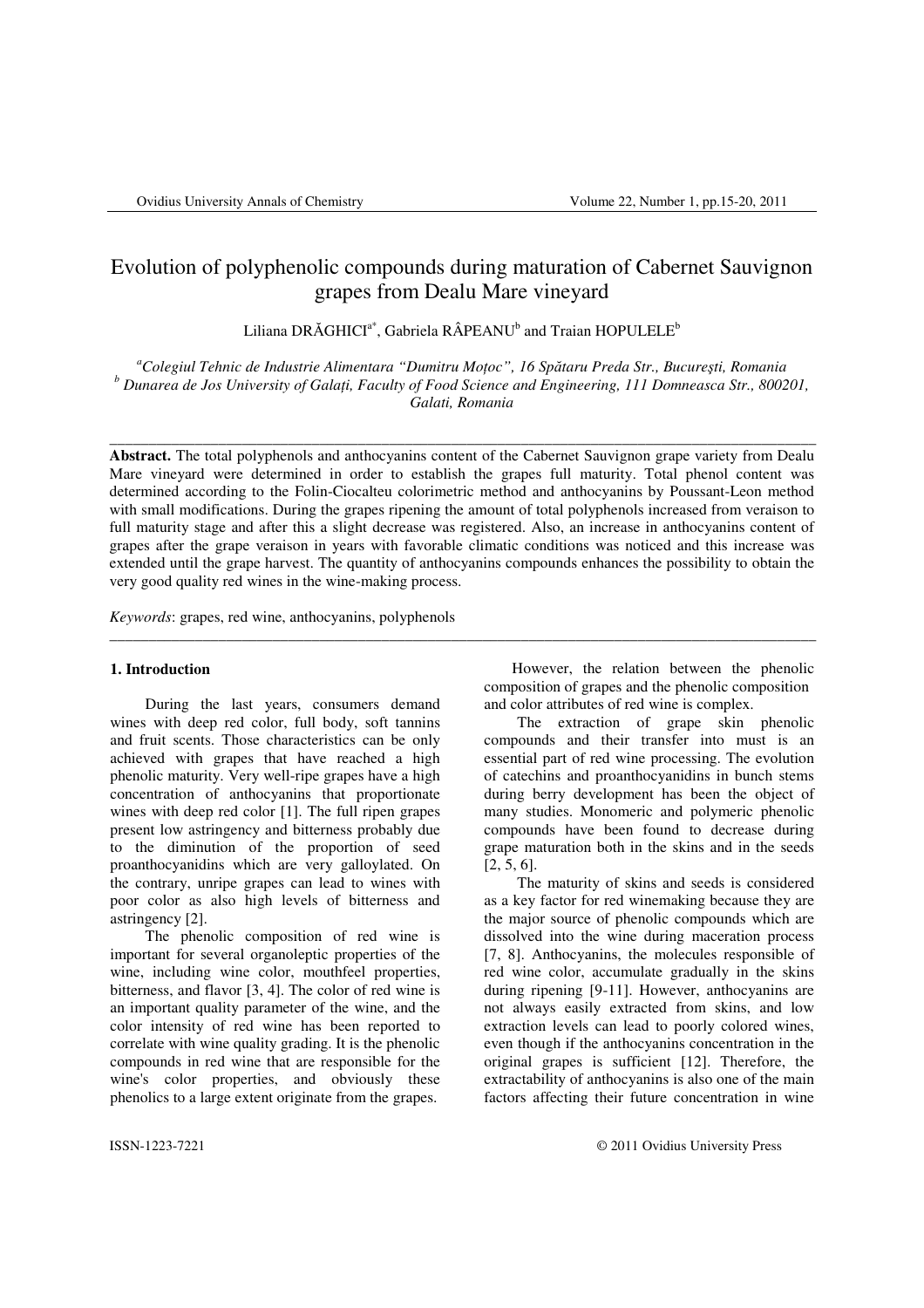# Evolution of polyphenolic compounds during maturation of Cabernet Sauvignon grapes from Dealu Mare vineyard

Liliana DRĂGHICI $^{\mathrm{a}^{\mathrm{*}}}$ , Gabriela RÂPEANU $^{\mathrm{b}}$  and Traian HOPULELE $^{\mathrm{b}}$ 

*<sup>a</sup>Colegiul Tehnic de Industrie Alimentara "Dumitru Mo*ţ*oc", 16 Sp*ă*taru Preda Str., Bucure*ş*ti, Romania b Dunarea de Jos University of Gala*ţ*i, Faculty of Food Science and Engineering, 111 Domneasca Str., 800201, Galati, Romania* 

\_\_\_\_\_\_\_\_\_\_\_\_\_\_\_\_\_\_\_\_\_\_\_\_\_\_\_\_\_\_\_\_\_\_\_\_\_\_\_\_\_\_\_\_\_\_\_\_\_\_\_\_\_\_\_\_\_\_\_\_\_\_\_\_\_\_\_\_\_\_\_\_\_\_\_\_\_\_\_\_\_\_\_\_\_\_\_\_\_\_\_

**Abstract.** The total polyphenols and anthocyanins content of the Cabernet Sauvignon grape variety from Dealu Mare vineyard were determined in order to establish the grapes full maturity. Total phenol content was determined according to the Folin-Ciocalteu colorimetric method and anthocyanins by Poussant-Leon method with small modifications. During the grapes ripening the amount of total polyphenols increased from veraison to full maturity stage and after this a slight decrease was registered. Also, an increase in anthocyanins content of grapes after the grape veraison in years with favorable climatic conditions was noticed and this increase was extended until the grape harvest. The quantity of anthocyanins compounds enhances the possibility to obtain the very good quality red wines in the wine-making process.

\_\_\_\_\_\_\_\_\_\_\_\_\_\_\_\_\_\_\_\_\_\_\_\_\_\_\_\_\_\_\_\_\_\_\_\_\_\_\_\_\_\_\_\_\_\_\_\_\_\_\_\_\_\_\_\_\_\_\_\_\_\_\_\_\_\_\_\_\_\_\_\_\_\_\_\_\_\_\_\_\_\_\_\_\_\_\_\_\_\_\_

*Keywords*: grapes, red wine, anthocyanins, polyphenols

# **1. Introduction**

During the last years, consumers demand wines with deep red color, full body, soft tannins and fruit scents. Those characteristics can be only achieved with grapes that have reached a high phenolic maturity. Very well-ripe grapes have a high concentration of anthocyanins that proportionate wines with deep red color [1]. The full ripen grapes present low astringency and bitterness probably due to the diminution of the proportion of seed proanthocyanidins which are very galloylated. On the contrary, unripe grapes can lead to wines with poor color as also high levels of bitterness and astringency [2].

The phenolic composition of red wine is important for several organoleptic properties of the wine, including wine color, mouthfeel properties, bitterness, and flavor [3, 4]. The color of red wine is an important quality parameter of the wine, and the color intensity of red wine has been reported to correlate with wine quality grading. It is the phenolic compounds in red wine that are responsible for the wine's color properties, and obviously these phenolics to a large extent originate from the grapes.

 However, the relation between the phenolic composition of grapes and the phenolic composition and color attributes of red wine is complex.

 The extraction of grape skin phenolic compounds and their transfer into must is an essential part of red wine processing. The evolution of catechins and proanthocyanidins in bunch stems during berry development has been the object of many studies. Monomeric and polymeric phenolic compounds have been found to decrease during grape maturation both in the skins and in the seeds [2, 5, 6].

 The maturity of skins and seeds is considered as a key factor for red winemaking because they are the major source of phenolic compounds which are dissolved into the wine during maceration process [7, 8]. Anthocyanins, the molecules responsible of red wine color, accumulate gradually in the skins during ripening [9-11]. However, anthocyanins are not always easily extracted from skins, and low extraction levels can lead to poorly colored wines, even though if the anthocyanins concentration in the original grapes is sufficient [12]. Therefore, the extractability of anthocyanins is also one of the main factors affecting their future concentration in wine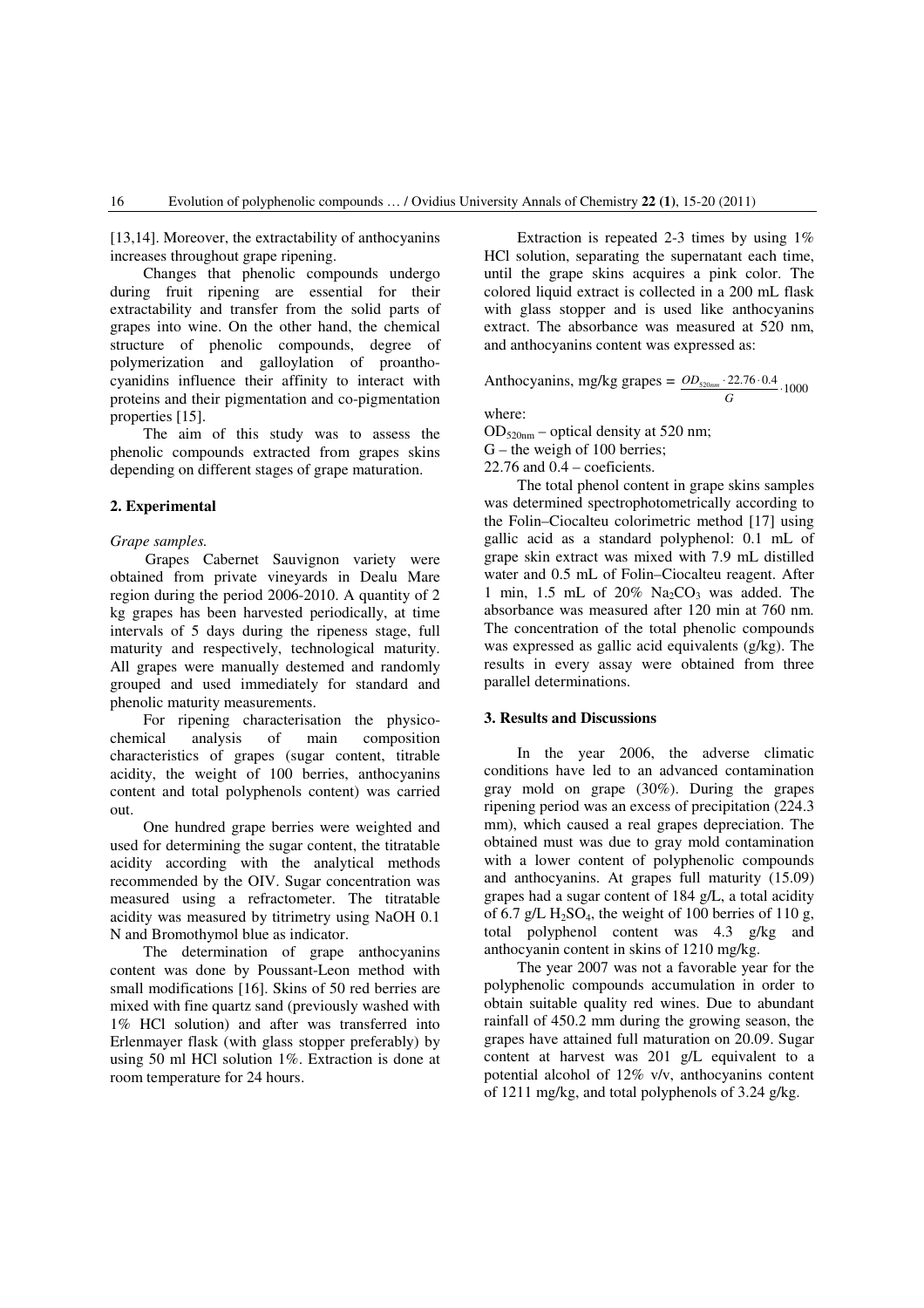[13,14]. Moreover, the extractability of anthocyanins increases throughout grape ripening.

 Changes that phenolic compounds undergo during fruit ripening are essential for their extractability and transfer from the solid parts of grapes into wine. On the other hand, the chemical structure of phenolic compounds, degree of polymerization and galloylation of proanthocyanidins influence their affinity to interact with proteins and their pigmentation and co-pigmentation properties [15].

 The aim of this study was to assess the phenolic compounds extracted from grapes skins depending on different stages of grape maturation.

## **2. Experimental**

## *Grape samples.*

Grapes Cabernet Sauvignon variety were obtained from private vineyards in Dealu Mare region during the period 2006-2010. A quantity of 2 kg grapes has been harvested periodically, at time intervals of 5 days during the ripeness stage, full maturity and respectively, technological maturity. All grapes were manually destemed and randomly grouped and used immediately for standard and phenolic maturity measurements.

For ripening characterisation the physicochemical analysis of main composition characteristics of grapes (sugar content, titrable acidity, the weight of 100 berries, anthocyanins content and total polyphenols content) was carried out.

One hundred grape berries were weighted and used for determining the sugar content, the titratable acidity according with the analytical methods recommended by the OIV. Sugar concentration was measured using a refractometer. The titratable acidity was measured by titrimetry using NaOH 0.1 N and Bromothymol blue as indicator.

The determination of grape anthocyanins content was done by Poussant-Leon method with small modifications [16]. Skins of 50 red berries are mixed with fine quartz sand (previously washed with 1% HCl solution) and after was transferred into Erlenmayer flask (with glass stopper preferably) by using 50 ml HCl solution 1%. Extraction is done at room temperature for 24 hours.

Extraction is repeated 2-3 times by using 1% HCl solution, separating the supernatant each time, until the grape skins acquires a pink color. The colored liquid extract is collected in a 200 mL flask with glass stopper and is used like anthocyanins extract. The absorbance was measured at 520 nm, and anthocyanins content was expressed as:

Anthocyanins, mg/kg grapes =  $\underline{OD_{520nm} \cdot 22.76 \cdot 0.4}}$ . 1000  $OD_{520nm}$ 

*G*

where:

 $OD_{520nm}$  – optical density at 520 nm;

G – the weigh of 100 berries;

22.76 and 0.4 – coeficients.

The total phenol content in grape skins samples was determined spectrophotometrically according to the Folin–Ciocalteu colorimetric method [17] using gallic acid as a standard polyphenol: 0.1 mL of grape skin extract was mixed with 7.9 mL distilled water and 0.5 mL of Folin–Ciocalteu reagent. After 1 min, 1.5 mL of  $20\%$  Na<sub>2</sub>CO<sub>3</sub> was added. The absorbance was measured after 120 min at 760 nm. The concentration of the total phenolic compounds was expressed as gallic acid equivalents (g/kg). The results in every assay were obtained from three parallel determinations.

#### **3. Results and Discussions**

In the year 2006, the adverse climatic conditions have led to an advanced contamination gray mold on grape (30%). During the grapes ripening period was an excess of precipitation (224.3 mm), which caused a real grapes depreciation. The obtained must was due to gray mold contamination with a lower content of polyphenolic compounds and anthocyanins. At grapes full maturity (15.09) grapes had a sugar content of 184 g/L, a total acidity of 6.7 g/L  $H_2SO_4$ , the weight of 100 berries of 110 g, total polyphenol content was 4.3 g/kg and anthocyanin content in skins of 1210 mg/kg.

The year 2007 was not a favorable year for the polyphenolic compounds accumulation in order to obtain suitable quality red wines. Due to abundant rainfall of 450.2 mm during the growing season, the grapes have attained full maturation on 20.09. Sugar content at harvest was 201 g/L equivalent to a potential alcohol of 12% v/v, anthocyanins content of 1211 mg/kg, and total polyphenols of 3.24 g/kg.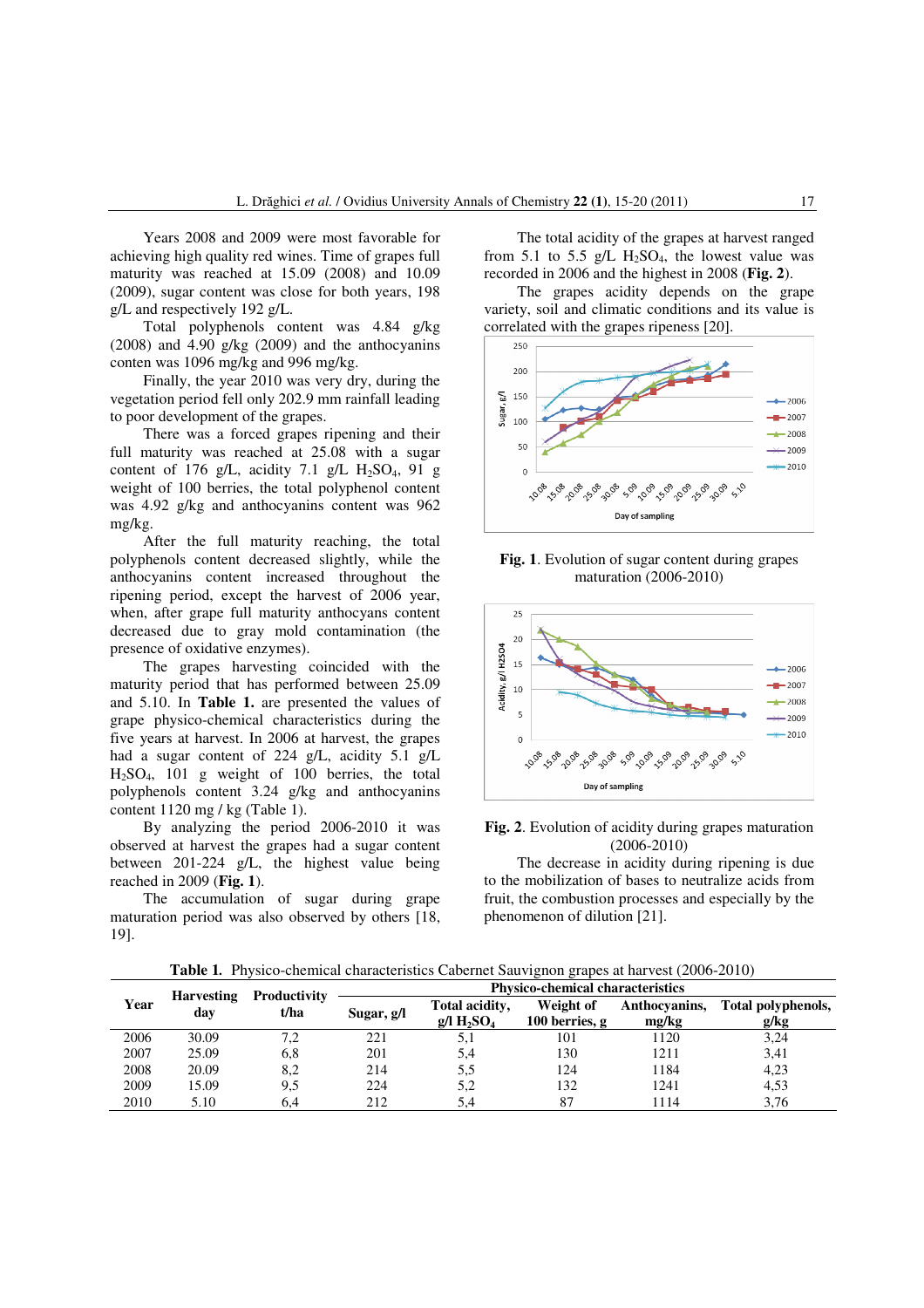Years 2008 and 2009 were most favorable for achieving high quality red wines. Time of grapes full maturity was reached at 15.09 (2008) and 10.09 (2009), sugar content was close for both years, 198 g/L and respectively 192 g/L.

Total polyphenols content was 4.84 g/kg (2008) and 4.90 g/kg (2009) and the anthocyanins conten was 1096 mg/kg and 996 mg/kg.

Finally, the year 2010 was very dry, during the vegetation period fell only 202.9 mm rainfall leading to poor development of the grapes.

There was a forced grapes ripening and their full maturity was reached at 25.08 with a sugar content of 176 g/L, acidity 7.1 g/L  $H_2SO_4$ , 91 g weight of 100 berries, the total polyphenol content was 4.92 g/kg and anthocyanins content was 962 mg/kg.

After the full maturity reaching, the total polyphenols content decreased slightly, while the anthocyanins content increased throughout the ripening period, except the harvest of 2006 year, when, after grape full maturity anthocyans content decreased due to gray mold contamination (the presence of oxidative enzymes).

The grapes harvesting coincided with the maturity period that has performed between 25.09 and 5.10. In **Table 1.** are presented the values of grape physico-chemical characteristics during the five years at harvest. In 2006 at harvest, the grapes had a sugar content of 224 g/L, acidity 5.1 g/L  $H_2SO_4$ , 101 g weight of 100 berries, the total polyphenols content 3.24 g/kg and anthocyanins content 1120 mg / kg (Table 1).

By analyzing the period 2006-2010 it was observed at harvest the grapes had a sugar content between 201-224 g/L, the highest value being reached in 2009 (**Fig. 1**).

 The accumulation of sugar during grape maturation period was also observed by others [18, 19].

The total acidity of the grapes at harvest ranged from 5.1 to 5.5 g/L  $H_2SO_4$ , the lowest value was recorded in 2006 and the highest in 2008 (**Fig. 2**).

The grapes acidity depends on the grape variety, soil and climatic conditions and its value is correlated with the grapes ripeness [20].



**Fig. 1**. Evolution of sugar content during grapes maturation (2006-2010)



# **Fig. 2**. Evolution of acidity during grapes maturation (2006-2010)

The decrease in acidity during ripening is due to the mobilization of bases to neutralize acids from fruit, the combustion processes and especially by the phenomenon of dilution [21].

| Year | <b>Harvesting</b><br>dav | Productivity<br>t/ha | <b>Physico-chemical characteristics</b> |                                                             |                               |                        |                            |
|------|--------------------------|----------------------|-----------------------------------------|-------------------------------------------------------------|-------------------------------|------------------------|----------------------------|
|      |                          |                      | Sugar, g/l                              | Total acidity,<br>$g/\rm{I}$ H <sub>2</sub> SO <sub>4</sub> | Weight of<br>100 berries, $g$ | Anthocyanins,<br>mg/kg | Total polyphenols,<br>g/kg |
| 2006 | 30.09                    | 7.2                  | 221                                     | 5.1                                                         | 101                           | 1120                   | 3,24                       |
| 2007 | 25.09                    | 6,8                  | 201                                     | 5,4                                                         | 130                           | 1211                   | 3,41                       |
| 2008 | 20.09                    | 8,2                  | 214                                     | 5,5                                                         | 124                           | 1184                   | 4,23                       |
| 2009 | 15.09                    | 9.5                  | 224                                     | 5.2                                                         | 132                           | 1241                   | 4,53                       |
| 2010 | 5.10                     | 6.4                  | 212                                     | 5.4                                                         | 87                            | 1114                   | 3.76                       |

**Table 1***.* Physico-chemical characteristics Cabernet Sauvignon grapes at harvest (2006-2010)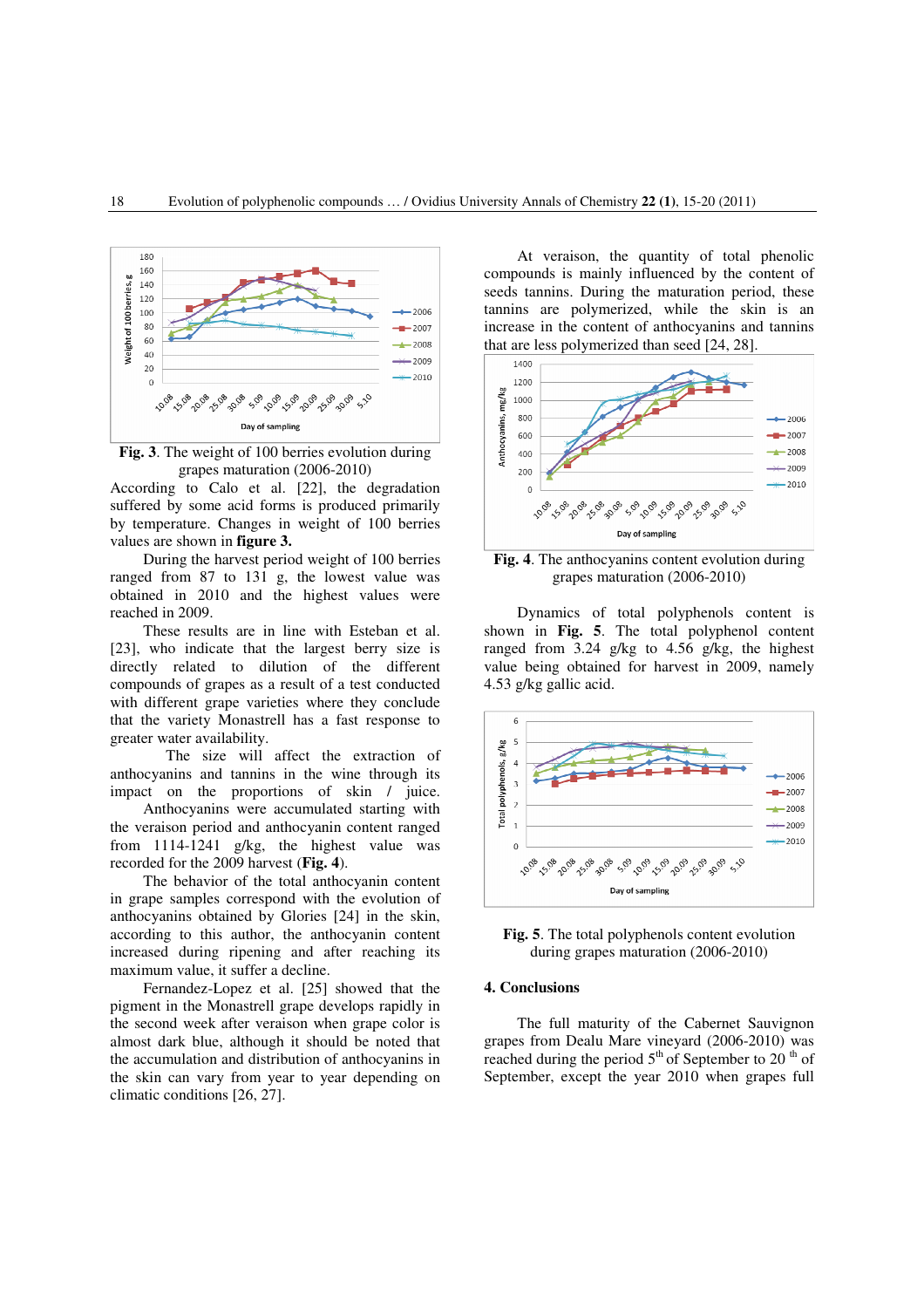

**Fig. 3**. The weight of 100 berries evolution during grapes maturation (2006-2010)

According to Calo et al. [22], the degradation suffered by some acid forms is produced primarily by temperature. Changes in weight of 100 berries values are shown in **figure 3.**

 During the harvest period weight of 100 berries ranged from 87 to 131 g, the lowest value was obtained in 2010 and the highest values were reached in 2009.

 These results are in line with Esteban et al. [23], who indicate that the largest berry size is directly related to dilution of the different compounds of grapes as a result of a test conducted with different grape varieties where they conclude that the variety Monastrell has a fast response to greater water availability.

 The size will affect the extraction of anthocyanins and tannins in the wine through its impact on the proportions of skin / juice.

 Anthocyanins were accumulated starting with the veraison period and anthocyanin content ranged from 1114-1241 g/kg, the highest value was recorded for the 2009 harvest (**Fig. 4**).

 The behavior of the total anthocyanin content in grape samples correspond with the evolution of anthocyanins obtained by Glories [24] in the skin, according to this author, the anthocyanin content increased during ripening and after reaching its maximum value, it suffer a decline.

 Fernandez-Lopez et al. [25] showed that the pigment in the Monastrell grape develops rapidly in the second week after veraison when grape color is almost dark blue, although it should be noted that the accumulation and distribution of anthocyanins in the skin can vary from year to year depending on climatic conditions [26, 27].

 At veraison, the quantity of total phenolic compounds is mainly influenced by the content of seeds tannins. During the maturation period, these tannins are polymerized, while the skin is an increase in the content of anthocyanins and tannins that are less polymerized than seed [24, 28].



**Fig. 4**. The anthocyanins content evolution during grapes maturation (2006-2010)

 Dynamics of total polyphenols content is shown in **Fig. 5**. The total polyphenol content ranged from 3.24 g/kg to 4.56 g/kg, the highest value being obtained for harvest in 2009, namely 4.53 g/kg gallic acid.





#### **4. Conclusions**

 The full maturity of the Cabernet Sauvignon grapes from Dealu Mare vineyard (2006-2010) was reached during the period  $5<sup>th</sup>$  of September to 20<sup>th</sup> of September, except the year 2010 when grapes full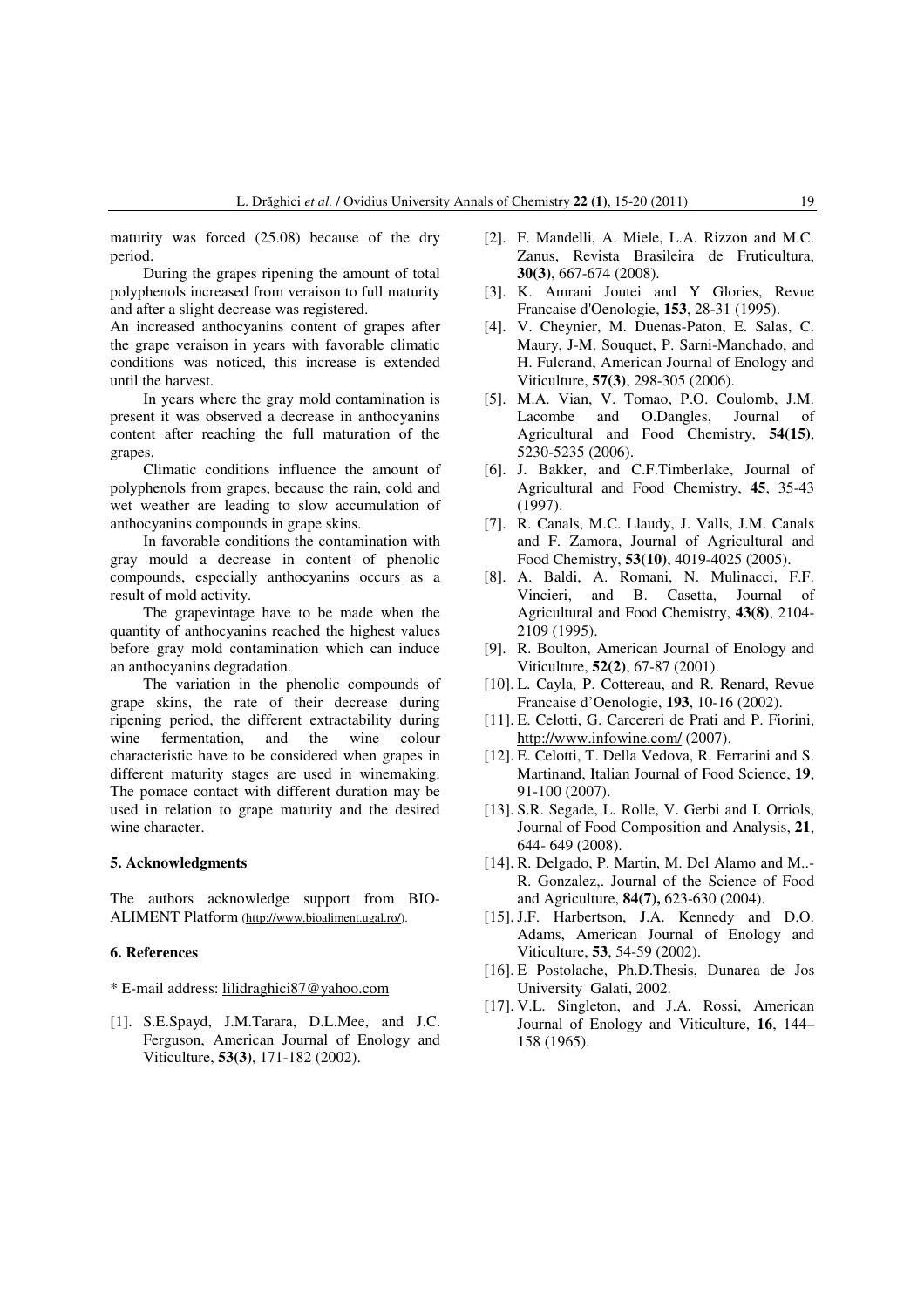maturity was forced (25.08) because of the dry period.

 During the grapes ripening the amount of total polyphenols increased from veraison to full maturity and after a slight decrease was registered.

An increased anthocyanins content of grapes after the grape veraison in years with favorable climatic conditions was noticed, this increase is extended until the harvest.

 In years where the gray mold contamination is present it was observed a decrease in anthocyanins content after reaching the full maturation of the grapes.

 Climatic conditions influence the amount of polyphenols from grapes, because the rain, cold and wet weather are leading to slow accumulation of anthocyanins compounds in grape skins.

 In favorable conditions the contamination with gray mould a decrease in content of phenolic compounds, especially anthocyanins occurs as a result of mold activity.

 The grapevintage have to be made when the quantity of anthocyanins reached the highest values before gray mold contamination which can induce an anthocyanins degradation.

 The variation in the phenolic compounds of grape skins, the rate of their decrease during ripening period, the different extractability during wine fermentation, and the wine colour characteristic have to be considered when grapes in different maturity stages are used in winemaking. The pomace contact with different duration may be used in relation to grape maturity and the desired wine character.

## **5. Acknowledgments**

The authors acknowledge support from BIO-ALIMENT Platform (http://www.bioaliment.ugal.ro/).

### **6. References**

\* E-mail address: lilidraghici87@yahoo.com

[1]. S.E.Spayd, J.M.Tarara, D.L.Mee, and J.C. Ferguson, American Journal of Enology and Viticulture, **53(3)**, 171-182 (2002).

- [2]. F. Mandelli, A. Miele, L.A. Rizzon and M.C. Zanus, Revista Brasileira de Fruticultura, **30(3)**, 667-674 (2008).
- [3]. K. Amrani Joutei and Y Glories, Revue Francaise d'Oenologie, **153**, 28-31 (1995).
- [4]. V. Cheynier, M. Duenas-Paton, E. Salas, C. Maury, J-M. Souquet, P. Sarni-Manchado, and H. Fulcrand, American Journal of Enology and Viticulture, **57(3)**, 298-305 (2006).
- [5]. M.A. Vian, V. Tomao, P.O. Coulomb, J.M. Lacombe and O.Dangles, Journal of Agricultural and Food Chemistry, **54(15)**, 5230-5235 (2006).
- [6]. J. Bakker, and C.F.Timberlake, Journal of Agricultural and Food Chemistry, **45**, 35-43 (1997).
- [7]. R. Canals, M.C. Llaudy, J. Valls, J.M. Canals and F. Zamora, Journal of Agricultural and Food Chemistry, **53(10)**, 4019-4025 (2005).
- [8]. A. Baldi, A. Romani, N. Mulinacci, F.F. Vincieri, and B. Casetta, Journal of Agricultural and Food Chemistry, **43(8)**, 2104- 2109 (1995).
- [9]. R. Boulton, American Journal of Enology and Viticulture, **52(2)**, 67-87 (2001).
- [10]. L. Cayla, P. Cottereau, and R. Renard, Revue Francaise d'Oenologie, **193**, 10-16 (2002).
- [11]. E. Celotti, G. Carcereri de Prati and P. Fiorini, http://www.infowine.com/ (2007).
- [12]. E. Celotti, T. Della Vedova, R. Ferrarini and S. Martinand, Italian Journal of Food Science, **19**, 91-100 (2007).
- [13]. S.R. Segade, L. Rolle, V. Gerbi and I. Orriols, Journal of Food Composition and Analysis, **21**, 644- 649 (2008).
- [14]. R. Delgado, P. Martin, M. Del Alamo and M..- R. Gonzalez,. Journal of the Science of Food and Agriculture, **84(7),** 623-630 (2004).
- [15]. J.F. Harbertson, J.A. Kennedy and D.O. Adams, American Journal of Enology and Viticulture, **53**, 54-59 (2002).
- [16]. E Postolache, Ph.D.Thesis, Dunarea de Jos University Galati, 2002.
- [17]. V.L. Singleton, and J.A. Rossi, American Journal of Enology and Viticulture, **16**, 144– 158 (1965).